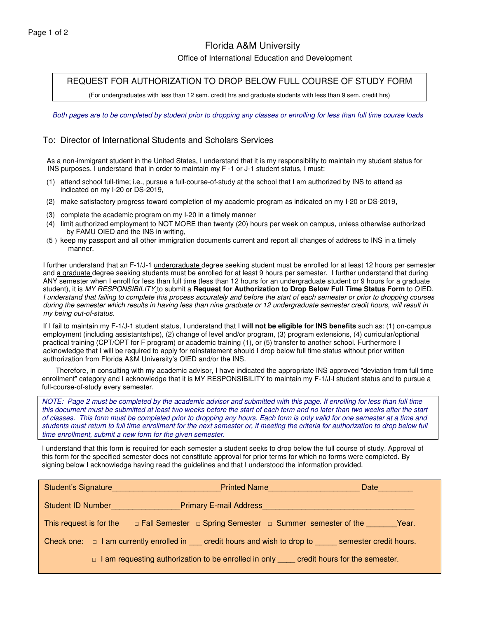## Florida A&M University

Office of International Education and Development

REQUEST FOR AUTHORIZATION TO DROP BELOW FULL COURSE OF STUDY FORM

(For undergraduates with less than 12 sem. credit hrs and graduate students with less than 9 sem. credit hrs)

Both pages are to be completed by student prior to dropping any classes or enrolling for less than full time course loads

## To: Director of International Students and Scholars Services

As a non-immigrant student in the United States, I understand that it is my responsibility to maintain my student status for INS purposes. I understand that in order to maintain my F -1 or J-1 student status, I must:

- (1) attend school full-time; i.e., pursue a full-course-of-study at the school that I am authorized by INS to attend as indicated on my I-20 or DS-2019,
- (2) make satisfactory progress toward completion of my academic program as indicated on my I-20 or DS-2019,
- (3) complete the academic program on my I-20 in a timely manner
- (4) limit authorized employment to NOT MORE than twenty (20) hours per week on campus, unless otherwise authorized by FAMU OIED and the INS in writing,
- (5 ) keep my passport and all other immigration documents current and report all changes of address to INS in a timely manner.

I further understand that an F-1/J-1 undergraduate degree seeking student must be enrolled for at least 12 hours per semester and a graduate degree seeking students must be enrolled for at least 9 hours per semester. I further understand that during ANY semester when I enroll for less than full time (less than 12 hours for an undergraduate student or 9 hours for a graduate student), it is *MY RESPONSIBILITY* to submit a **Request for Authorization to Drop Below Full Time Status Form** to OIED. I understand that failing to complete this process accurately and before the start of each semester or prior to dropping courses during the semester which results in having less than nine graduate or 12 undergraduate semester credit hours, will result in *my being out-of-status.*

If I fail to maintain my F-1/J-1 student status, I understand that I **will not be eligible for INS benefits** such as: (1) on-campus employment (including assistantships), (2) change of level and/or program, (3) program extensions, (4) curricular/optional practical training (CPT/OPT for F program) or academic training (1), or (5) transfer to another school. Furthermore I acknowledge that I will be required to apply for reinstatement should I drop below full time status without prior written authorization from Florida A&M University's OIED and/or the INS.

Therefore, in consulting with my academic advisor, I have indicated the appropriate INS approved "deviation from full time enrollment" category and I acknowledge that it is MY RESPONSIBILITY to maintain my F-1/J-l student status and to pursue a full-course-of-study every semester.

NOTE: Page 2 must be completed by the academic advisor and submitted with this page. If enrolling for less than full time this document must be submitted at least two weeks before the start of each term and no later than two weeks after the start of classes. This form must be completed prior to dropping any hours. Each form is only valid for one semester at a time and students must return to full time enrollment for the next semester or, if meeting the criteria for authorization to drop below full *time enrollment, submit a new form for the given semester.*

I understand that this form is required for each semester a student seeks to drop below the full course of study. Approval of this form for the specified semester does not constitute approval for prior terms for which no forms were completed. By signing below I acknowledge having read the guidelines and that I understood the information provided.

|                          |  | Student's Signature |                                                                                                      | Printed Name | Date |  |
|--------------------------|--|---------------------|------------------------------------------------------------------------------------------------------|--------------|------|--|
| <b>Student ID Number</b> |  |                     | <b>Primary E-mail Address</b>                                                                        |              |      |  |
| This request is for the  |  |                     | □ Fall Semester □ Spring Semester □ Summer semester of the Year.                                     |              |      |  |
|                          |  |                     | Check one: $\Box$ I am currently enrolled in credit hours and wish to drop to semester credit hours. |              |      |  |
|                          |  |                     | $\Box$ I am requesting authorization to be enrolled in only credit hours for the semester.           |              |      |  |